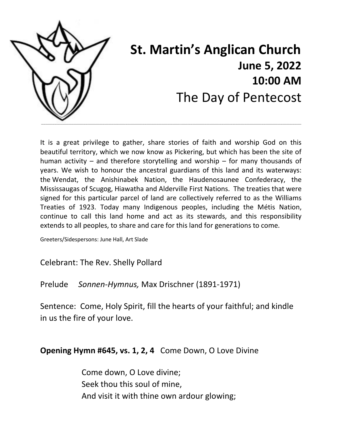

# **St. Martin's Anglican Church June 5, 2022 10:00 AM** The Day of Pentecost

It is a great privilege to gather, share stories of faith and worship God on this beautiful territory, which we now know as Pickering, but which has been the site of human activity – and therefore storytelling and worship – for many thousands of years. We wish to honour the ancestral guardians of this land and its waterways: the Wendat, the Anishinabek Nation, the Haudenosaunee Confederacy, the Mississaugas of Scugog, Hiawatha and Alderville First Nations. The treaties that were signed for this particular parcel of land are collectively referred to as the Williams Treaties of 1923. Today many Indigenous peoples, including the Métis Nation, continue to call this land home and act as its stewards, and this responsibility extends to all peoples, to share and care for this land for generations to come.

Greeters/Sidespersons: June Hall, Art Slade

Celebrant: The Rev. Shelly Pollard

Prelude *Sonnen-Hymnus,* Max Drischner (1891-1971)

Sentence: Come, Holy Spirit, fill the hearts of your faithful; and kindle in us the fire of your love.

**Opening Hymn #645, vs. 1, 2, 4** Come Down, O Love Divine

Come down, O Love divine; Seek thou this soul of mine, And visit it with thine own ardour glowing;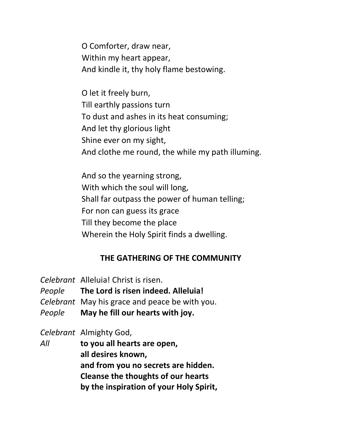O Comforter, draw near, Within my heart appear, And kindle it, thy holy flame bestowing.

O let it freely burn, Till earthly passions turn To dust and ashes in its heat consuming; And let thy glorious light Shine ever on my sight, And clothe me round, the while my path illuming.

And so the yearning strong, With which the soul will long, Shall far outpass the power of human telling; For non can guess its grace Till they become the place Wherein the Holy Spirit finds a dwelling.

#### **THE GATHERING OF THE COMMUNITY**

- *Celebrant* Alleluia! Christ is risen.
- *People* **The Lord is risen indeed. Alleluia!**
- *Celebrant* May his grace and peace be with you.
- *People* **May he fill our hearts with joy.**

*Celebrant* Almighty God,

*All* **to you all hearts are open, all desires known, and from you no secrets are hidden. Cleanse the thoughts of our hearts by the inspiration of your Holy Spirit,**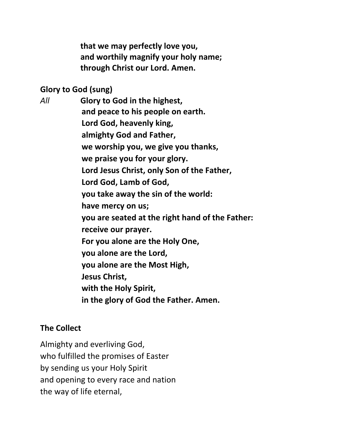**that we may perfectly love you, and worthily magnify your holy name; through Christ our Lord. Amen.**

#### **Glory to God (sung)**

*All* **Glory to God in the highest, and peace to his people on earth. Lord God, heavenly king, almighty God and Father, we worship you, we give you thanks, we praise you for your glory. Lord Jesus Christ, only Son of the Father, Lord God, Lamb of God, you take away the sin of the world: have mercy on us; you are seated at the right hand of the Father: receive our prayer. For you alone are the Holy One, you alone are the Lord, you alone are the Most High, Jesus Christ, with the Holy Spirit, in the glory of God the Father. Amen.**

#### **The Collect**

Almighty and everliving God, who fulfilled the promises of Easter by sending us your Holy Spirit and opening to every race and nation the way of life eternal,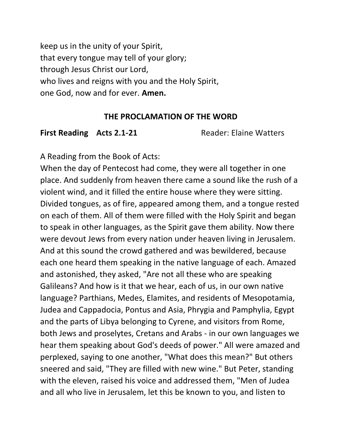keep us in the unity of your Spirit, that every tongue may tell of your glory; through Jesus Christ our Lord, who lives and reigns with you and the Holy Spirit, one God, now and for ever. **Amen.**

#### **THE PROCLAMATION OF THE WORD**

First Reading Acts 2.1-21 Reader: Elaine Watters

A Reading from the Book of Acts:

When the day of Pentecost had come, they were all together in one place. And suddenly from heaven there came a sound like the rush of a violent wind, and it filled the entire house where they were sitting. Divided tongues, as of fire, appeared among them, and a tongue rested on each of them. All of them were filled with the Holy Spirit and began to speak in other languages, as the Spirit gave them ability. Now there were devout Jews from every nation under heaven living in Jerusalem. And at this sound the crowd gathered and was bewildered, because each one heard them speaking in the native language of each. Amazed and astonished, they asked, "Are not all these who are speaking Galileans? And how is it that we hear, each of us, in our own native language? Parthians, Medes, Elamites, and residents of Mesopotamia, Judea and Cappadocia, Pontus and Asia, Phrygia and Pamphylia, Egypt and the parts of Libya belonging to Cyrene, and visitors from Rome, both Jews and proselytes, Cretans and Arabs - in our own languages we hear them speaking about God's deeds of power." All were amazed and perplexed, saying to one another, "What does this mean?" But others sneered and said, "They are filled with new wine." But Peter, standing with the eleven, raised his voice and addressed them, "Men of Judea and all who live in Jerusalem, let this be known to you, and listen to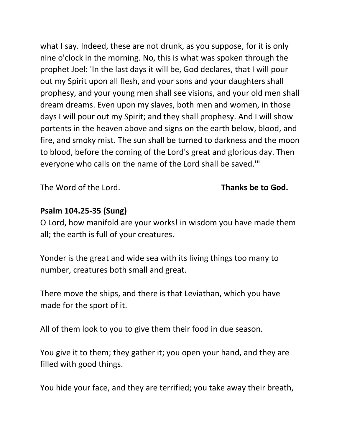what I say. Indeed, these are not drunk, as you suppose, for it is only nine o'clock in the morning. No, this is what was spoken through the prophet Joel: 'In the last days it will be, God declares, that I will pour out my Spirit upon all flesh, and your sons and your daughters shall prophesy, and your young men shall see visions, and your old men shall dream dreams. Even upon my slaves, both men and women, in those days I will pour out my Spirit; and they shall prophesy. And I will show portents in the heaven above and signs on the earth below, blood, and fire, and smoky mist. The sun shall be turned to darkness and the moon to blood, before the coming of the Lord's great and glorious day. Then everyone who calls on the name of the Lord shall be saved.'"

The Word of the Lord. **Thanks be to God.**

## **Psalm 104.25-35 (Sung)**

O Lord, how manifold are your works! in wisdom you have made them all; the earth is full of your creatures.

Yonder is the great and wide sea with its living things too many to number, creatures both small and great.

There move the ships, and there is that Leviathan, which you have made for the sport of it.

All of them look to you to give them their food in due season.

You give it to them; they gather it; you open your hand, and they are filled with good things.

You hide your face, and they are terrified; you take away their breath,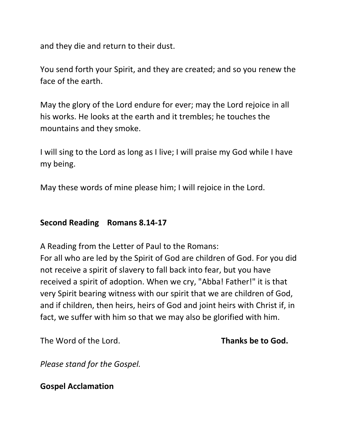and they die and return to their dust.

You send forth your Spirit, and they are created; and so you renew the face of the earth.

May the glory of the Lord endure for ever; may the Lord rejoice in all his works. He looks at the earth and it trembles; he touches the mountains and they smoke.

I will sing to the Lord as long as I live; I will praise my God while I have my being.

May these words of mine please him; I will rejoice in the Lord.

#### **Second Reading Romans 8.14-17**

A Reading from the Letter of Paul to the Romans:

For all who are led by the Spirit of God are children of God. For you did not receive a spirit of slavery to fall back into fear, but you have received a spirit of adoption. When we cry, "Abba! Father!" it is that very Spirit bearing witness with our spirit that we are children of God, and if children, then heirs, heirs of God and joint heirs with Christ if, in fact, we suffer with him so that we may also be glorified with him.

The Word of the Lord. **Thanks be to God.**

*Please stand for the Gospel.* 

**Gospel Acclamation**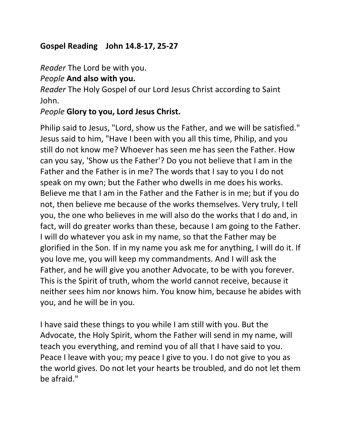## **Gospel Reading John 14.8-17, 25-27**

*Reader* The Lord be with you.

## *People* **And also with you.**

*Reader* The Holy Gospel of our Lord Jesus Christ according to Saint John.

## *People* **Glory to you, Lord Jesus Christ.**

Philip said to Jesus, "Lord, show us the Father, and we will be satisfied." Jesus said to him, "Have I been with you all this time, Philip, and you still do not know me? Whoever has seen me has seen the Father. How can you say, 'Show us the Father'? Do you not believe that I am in the Father and the Father is in me? The words that I say to you I do not speak on my own; but the Father who dwells in me does his works. Believe me that I am in the Father and the Father is in me; but if you do not, then believe me because of the works themselves. Very truly, I tell you, the one who believes in me will also do the works that I do and, in fact, will do greater works than these, because I am going to the Father. I will do whatever you ask in my name, so that the Father may be glorified in the Son. If in my name you ask me for anything, I will do it. If you love me, you will keep my commandments. And I will ask the Father, and he will give you another Advocate, to be with you forever. This is the Spirit of truth, whom the world cannot receive, because it neither sees him nor knows him. You know him, because he abides with you, and he will be in you.

I have said these things to you while I am still with you. But the Advocate, the Holy Spirit, whom the Father will send in my name, will teach you everything, and remind you of all that I have said to you. Peace I leave with you; my peace I give to you. I do not give to you as the world gives. Do not let your hearts be troubled, and do not let them be afraid."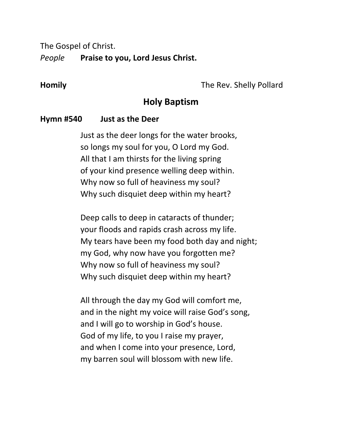The Gospel of Christ.

*People* **Praise to you, Lord Jesus Christ.**

**Homily** The Rev. Shelly Pollard

## **Holy Baptism**

#### **Hymn #540 Just as the Deer**

Just as the deer longs for the water brooks, so longs my soul for you, O Lord my God. All that I am thirsts for the living spring of your kind presence welling deep within. Why now so full of heaviness my soul? Why such disquiet deep within my heart?

Deep calls to deep in cataracts of thunder; your floods and rapids crash across my life. My tears have been my food both day and night; my God, why now have you forgotten me? Why now so full of heaviness my soul? Why such disquiet deep within my heart?

All through the day my God will comfort me, and in the night my voice will raise God's song, and I will go to worship in God's house. God of my life, to you I raise my prayer, and when I come into your presence, Lord, my barren soul will blossom with new life.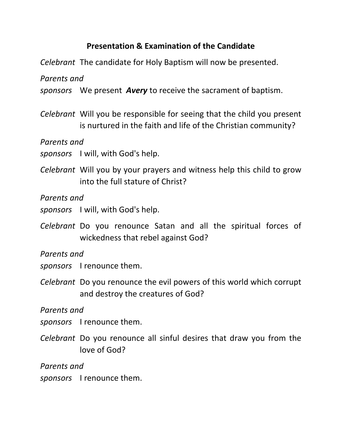## **Presentation & Examination of the Candidate**

*Celebrant* The candidate for Holy Baptism will now be presented.

*Parents and* 

*sponsors* We present *Avery* to receive the sacrament of baptism.

*Celebrant* Will you be responsible for seeing that the child you present is nurtured in the faith and life of the Christian community?

*Parents and* 

*sponsors* I will, with God's help.

*Celebrant* Will you by your prayers and witness help this child to grow into the full stature of Christ?

*Parents and* 

- *sponsors* I will, with God's help.
- *Celebrant* Do you renounce Satan and all the spiritual forces of wickedness that rebel against God?

*Parents and* 

*sponsors* I renounce them.

*Celebrant* Do you renounce the evil powers of this world which corrupt and destroy the creatures of God?

*Parents and* 

*sponsors* I renounce them.

*Celebrant* Do you renounce all sinful desires that draw you from the love of God?

*Parents and*

*sponsors* I renounce them.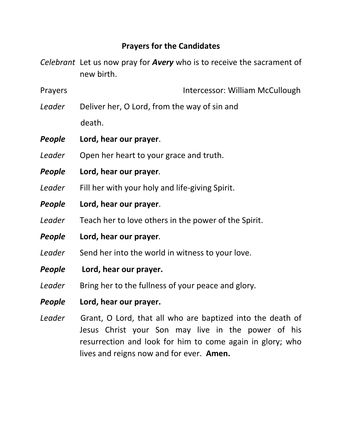## **Prayers for the Candidates**

*Celebrant* Let us now pray for *Avery* who is to receive the sacrament of new birth.

Prayers **Intercessor: William McCullough** 

- Leader Deliver her, O Lord, from the way of sin and death.
- *People* **Lord, hear our prayer**.
- Leader Open her heart to your grace and truth.
- *People* **Lord, hear our prayer***.*
- Leader Fill her with your holy and life-giving Spirit.
- *People* **Lord, hear our prayer**.
- Leader Teach her to love others in the power of the Spirit.
- *People* **Lord, hear our prayer***.*
- Leader Send her into the world in witness to your love.
- *People* **Lord, hear our prayer.**
- Leader Bring her to the fullness of your peace and glory.
- *People* **Lord, hear our prayer.**
- *Leader* Grant, O Lord, that all who are baptized into the death of Jesus Christ your Son may live in the power of his resurrection and look for him to come again in glory; who lives and reigns now and for ever. **Amen.**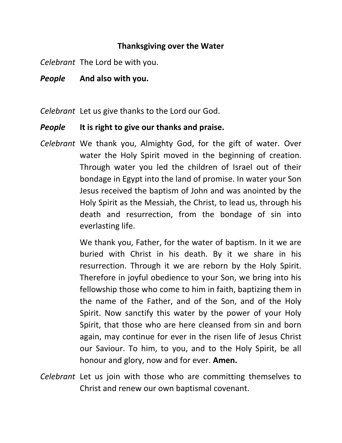#### **Thanksgiving over the Water**

*Celebrant* The Lord be with you.

*People* **And also with you.**

*Celebrant* Let us give thanks to the Lord our God.

#### *People* **It is right to give our thanks and praise.**

*Celebrant* We thank you, Almighty God, for the gift of water. Over water the Holy Spirit moved in the beginning of creation. Through water you led the children of Israel out of their bondage in Egypt into the land of promise. In water your Son Jesus received the baptism of John and was anointed by the Holy Spirit as the Messiah, the Christ, to lead us, through his death and resurrection, from the bondage of sin into everlasting life.

> We thank you, Father, for the water of baptism. In it we are buried with Christ in his death. By it we share in his resurrection. Through it we are reborn by the Holy Spirit. Therefore in joyful obedience to your Son, we bring into his fellowship those who come to him in faith, baptizing them in the name of the Father, and of the Son, and of the Holy Spirit. Now sanctify this water by the power of your Holy Spirit, that those who are here cleansed from sin and born again, may continue for ever in the risen life of Jesus Christ our Saviour. To him, to you, and to the Holy Spirit, be all honour and glory, now and for ever. **Amen.**

*Celebrant* Let us join with those who are committing themselves to Christ and renew our own baptismal covenant.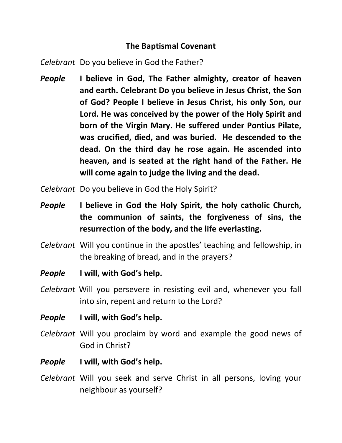## **The Baptismal Covenant**

*Celebrant* Do you believe in God the Father?

*People* **I believe in God, The Father almighty, creator of heaven and earth. Celebrant Do you believe in Jesus Christ, the Son of God? People I believe in Jesus Christ, his only Son, our Lord. He was conceived by the power of the Holy Spirit and born of the Virgin Mary. He suffered under Pontius Pilate, was crucified, died, and was buried. He descended to the dead. On the third day he rose again. He ascended into heaven, and is seated at the right hand of the Father. He will come again to judge the living and the dead.** 

*Celebrant* Do you believe in God the Holy Spirit?

- *People* **I believe in God the Holy Spirit, the holy catholic Church, the communion of saints, the forgiveness of sins, the resurrection of the body, and the life everlasting.**
- *Celebrant* Will you continue in the apostles' teaching and fellowship, in the breaking of bread, and in the prayers?
- *People* **I will, with God's help.**
- *Celebrant* Will you persevere in resisting evil and, whenever you fall into sin, repent and return to the Lord?
- *People* **I will, with God's help.**
- *Celebrant* Will you proclaim by word and example the good news of God in Christ?
- *People* **I will, with God's help.**
- *Celebrant* Will you seek and serve Christ in all persons, loving your neighbour as yourself?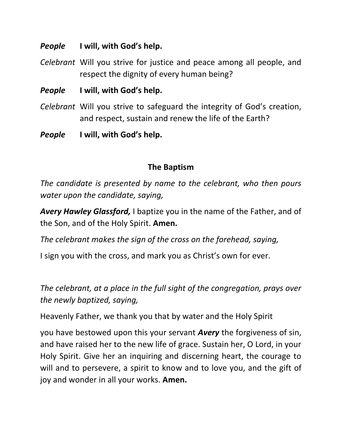#### *People* **I will, with God's help.**

- *Celebrant* Will you strive for justice and peace among all people, and respect the dignity of every human being?
- *People* **I will, with God's help.**
- *Celebrant* Will you strive to safeguard the integrity of God's creation, and respect, sustain and renew the life of the Earth?
- *People* **I will, with God's help.**

## **The Baptism**

*The candidate is presented by name to the celebrant, who then pours water upon the candidate, saying,*

*Avery Hawley Glassford,* I baptize you in the name of the Father, and of the Son, and of the Holy Spirit. **Amen.**

*The celebrant makes the sign of the cross on the forehead, saying,*

I sign you with the cross, and mark you as Christ's own for ever.

*The celebrant, at a place in the full sight of the congregation, prays over the newly baptized, saying,*

Heavenly Father, we thank you that by water and the Holy Spirit

you have bestowed upon this your servant *Avery* the forgiveness of sin, and have raised her to the new life of grace. Sustain her, O Lord, in your Holy Spirit. Give her an inquiring and discerning heart, the courage to will and to persevere, a spirit to know and to love you, and the gift of joy and wonder in all your works. **Amen.**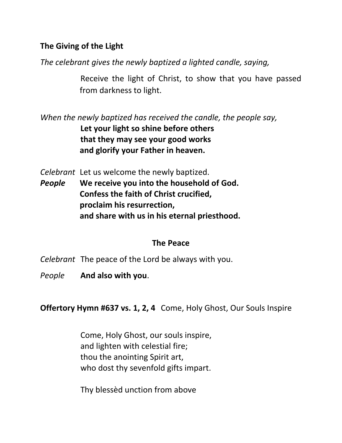## **The Giving of the Light**

*The celebrant gives the newly baptized a lighted candle, saying,*

Receive the light of Christ, to show that you have passed from darkness to light.

*When the newly baptized has received the candle, the people say,* **Let your light so shine before others that they may see your good works and glorify your Father in heaven.**

*Celebrant* Let us welcome the newly baptized.

*People* **We receive you into the household of God. Confess the faith of Christ crucified, proclaim his resurrection, and share with us in his eternal priesthood.**

#### **The Peace**

- *Celebrant* The peace of the Lord be always with you.
- *People* **And also with you**.

**Offertory Hymn #637 vs. 1, 2, 4** Come, Holy Ghost, Our Souls Inspire

Come, Holy Ghost, our souls inspire, and lighten with celestial fire; thou the anointing Spirit art, who dost thy sevenfold gifts impart.

Thy blessèd unction from above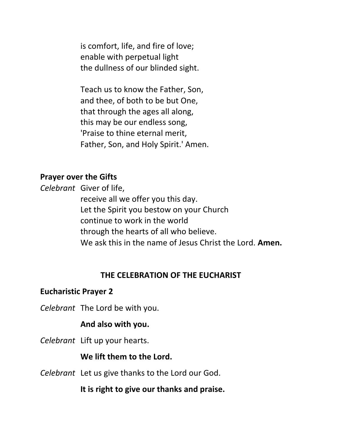is comfort, life, and fire of love; enable with perpetual light the dullness of our blinded sight.

Teach us to know the Father, Son, and thee, of both to be but One, that through the ages all along, this may be our endless song, 'Praise to thine eternal merit, Father, Son, and Holy Spirit.' Amen.

#### **Prayer over the Gifts**

*Celebrant* Giver of life,

receive all we offer you this day. Let the Spirit you bestow on your Church continue to work in the world through the hearts of all who believe. We ask this in the name of Jesus Christ the Lord. **Amen.**

#### **THE CELEBRATION OF THE EUCHARIST**

#### **Eucharistic Prayer 2**

*Celebrant* The Lord be with you.

#### **And also with you.**

*Celebrant* Lift up your hearts.

#### **We lift them to the Lord.**

*Celebrant* Let us give thanks to the Lord our God.

**It is right to give our thanks and praise.**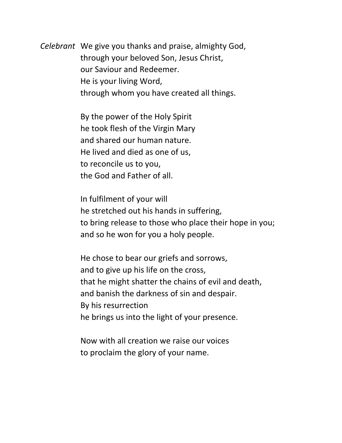*Celebrant* We give you thanks and praise, almighty God, through your beloved Son, Jesus Christ, our Saviour and Redeemer. He is your living Word, through whom you have created all things.

> By the power of the Holy Spirit he took flesh of the Virgin Mary and shared our human nature. He lived and died as one of us, to reconcile us to you, the God and Father of all.

In fulfilment of your will he stretched out his hands in suffering, to bring release to those who place their hope in you; and so he won for you a holy people.

He chose to bear our griefs and sorrows, and to give up his life on the cross, that he might shatter the chains of evil and death, and banish the darkness of sin and despair. By his resurrection he brings us into the light of your presence.

Now with all creation we raise our voices to proclaim the glory of your name.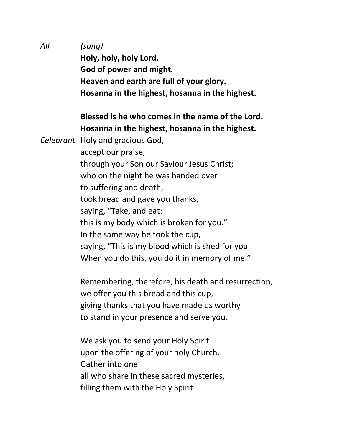*All (sung)* **Holy, holy, holy Lord, God of power and might***.* **Heaven and earth are full of your glory. Hosanna in the highest, hosanna in the highest.**

## **Blessed is he who comes in the name of the Lord. Hosanna in the highest, hosanna in the highest.**

*Celebrant* Holy and gracious God,

accept our praise, through your Son our Saviour Jesus Christ; who on the night he was handed over to suffering and death, took bread and gave you thanks, saying, "Take, and eat: this is my body which is broken for you." In the same way he took the cup, saying, "This is my blood which is shed for you. When you do this, you do it in memory of me."

Remembering, therefore, his death and resurrection, we offer you this bread and this cup, giving thanks that you have made us worthy to stand in your presence and serve you.

We ask you to send your Holy Spirit upon the offering of your holy Church. Gather into one all who share in these sacred mysteries, filling them with the Holy Spirit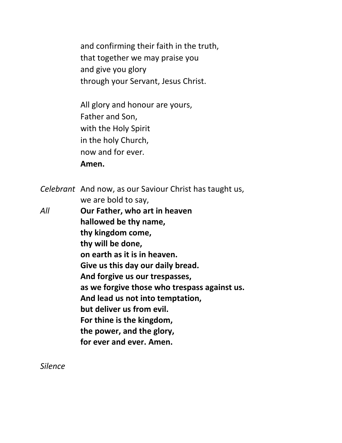and confirming their faith in the truth, that together we may praise you and give you glory through your Servant, Jesus Christ.

All glory and honour are yours, Father and Son, with the Holy Spirit in the holy Church, now and for ever*.* **Amen.**

*Celebrant* And now, as our Saviour Christ has taught us, we are bold to say, *All* **Our Father, who art in heaven hallowed be thy name, thy kingdom come, thy will be done, on earth as it is in heaven. Give us this day our daily bread. And forgive us our trespasses, as we forgive those who trespass against us. And lead us not into temptation, but deliver us from evil. For thine is the kingdom, the power, and the glory, for ever and ever. Amen.** 

*Silence*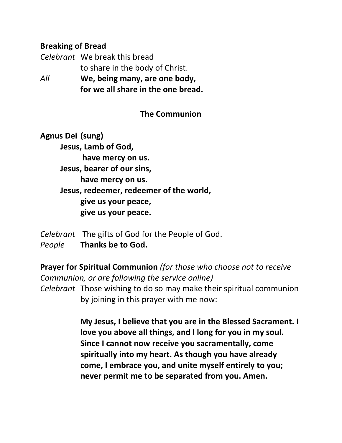#### **Breaking of Bread**

*Celebrant* We break this bread to share in the body of Christ. *All* **We, being many, are one body,** 

**for we all share in the one bread.**

**The Communion**

**Agnus Dei (sung) Jesus, Lamb of God, have mercy on us. Jesus, bearer of our sins, have mercy on us. Jesus, redeemer, redeemer of the world, give us your peace, give us your peace.** 

*Celebrant* The gifts of God for the People of God. *People* **Thanks be to God.**

**Prayer for Spiritual Communion** *(for those who choose not to receive Communion, or are following the service online) Celebrant* Those wishing to do so may make their spiritual communion by joining in this prayer with me now:

> **My Jesus, I believe that you are in the Blessed Sacrament. I love you above all things, and I long for you in my soul. Since I cannot now receive you sacramentally, come spiritually into my heart. As though you have already come, I embrace you, and unite myself entirely to you; never permit me to be separated from you. Amen.**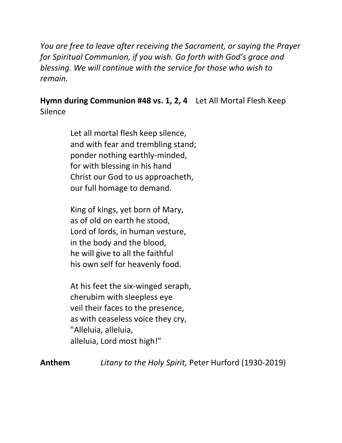*You are free to leave after receiving the Sacrament, or saying the Prayer for Spiritual Communion, if you wish. Go forth with God's grace and blessing. We will continue with the service for those who wish to remain.*

**Hymn during Communion #48 vs. 1, 2, 4** Let All Mortal Flesh Keep Silence

> Let all mortal flesh keep silence, and with fear and trembling stand; ponder nothing earthly-minded, for with blessing in his hand Christ our God to us approacheth, our full homage to demand.

King of kings, yet born of Mary, as of old on earth he stood, Lord of lords, in human vesture, in the body and the blood, he will give to all the faithful his own self for heavenly food.

At his feet the six-winged seraph, cherubim with sleepless eye veil their faces to the presence, as with ceaseless voice they cry, "Alleluia, alleluia, alleluia, Lord most high!"

**Anthem** *Litany to the Holy Spirit,* Peter Hurford (1930-2019)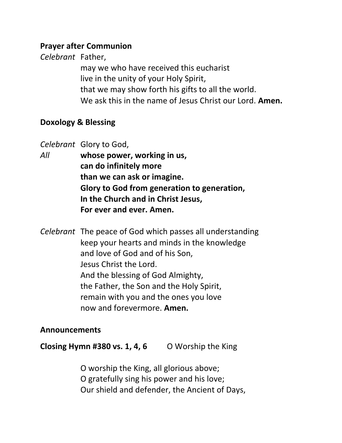#### **Prayer after Communion**

*Celebrant* Father,

may we who have received this eucharist live in the unity of your Holy Spirit, that we may show forth his gifts to all the world. We ask this in the name of Jesus Christ our Lord. **Amen.** 

## **Doxology & Blessing**

*Celebrant* Glory to God,

- *All* **whose power, working in us, can do infinitely more than we can ask or imagine. Glory to God from generation to generation, In the Church and in Christ Jesus, For ever and ever. Amen.**
- *Celebrant* The peace of God which passes all understanding keep your hearts and minds in the knowledge and love of God and of his Son, Jesus Christ the Lord. And the blessing of God Almighty, the Father, the Son and the Holy Spirit, remain with you and the ones you love now and forevermore. **Amen.**

#### **Announcements**

**Closing Hymn #380 vs. 1, 4, 6** O Worship the King

O worship the King, all glorious above; O gratefully sing his power and his love; Our shield and defender, the Ancient of Days,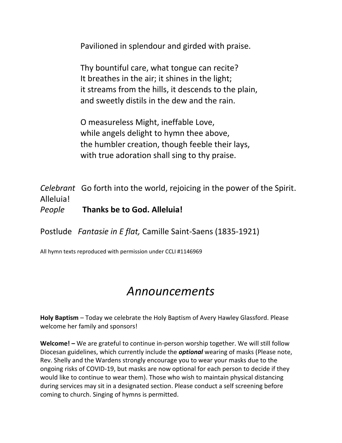Pavilioned in splendour and girded with praise.

Thy bountiful care, what tongue can recite? It breathes in the air; it shines in the light; it streams from the hills, it descends to the plain, and sweetly distils in the dew and the rain.

O measureless Might, ineffable Love, while angels delight to hymn thee above, the humbler creation, though feeble their lays, with true adoration shall sing to thy praise.

*Celebrant* Go forth into the world, rejoicing in the power of the Spirit. Alleluia! *People* **Thanks be to God. Alleluia!**

Postlude *Fantasie in E flat,* Camille Saint-Saens (1835-1921)

All hymn texts reproduced with permission under CCLI #1146969

# *Announcements*

**Holy Baptism** – Today we celebrate the Holy Baptism of Avery Hawley Glassford. Please welcome her family and sponsors!

**Welcome! –** We are grateful to continue in-person worship together. We will still follow Diocesan guidelines, which currently include the *optional* wearing of masks (Please note, Rev. Shelly and the Wardens strongly encourage you to wear your masks due to the ongoing risks of COVID-19, but masks are now optional for each person to decide if they would like to continue to wear them). Those who wish to maintain physical distancing during services may sit in a designated section. Please conduct a self screening before coming to church. Singing of hymns is permitted.